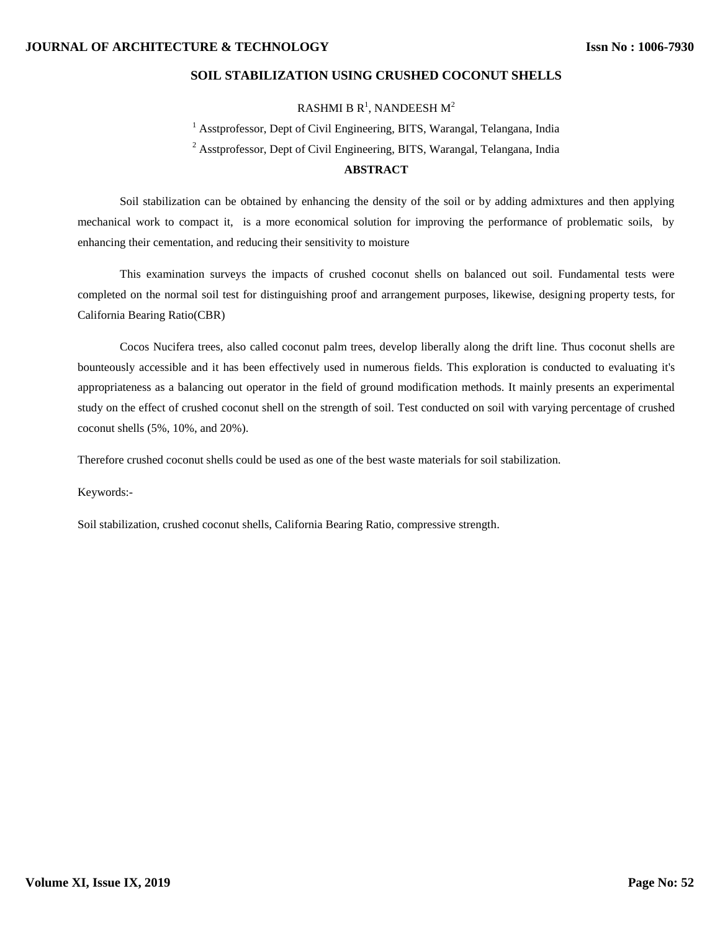# **SOIL STABILIZATION USING CRUSHED COCONUT SHELLS**

RASHMI B  $R^1$ , NANDEESH  $M^2$ 

<sup>1</sup> Asstprofessor, Dept of Civil Engineering, BITS, Warangal, Telangana, India <sup>2</sup> Asstprofessor, Dept of Civil Engineering, BITS, Warangal, Telangana, India

# **ABSTRACT**

Soil stabilization can be obtained by enhancing the density of the soil or by adding admixtures and then applying mechanical work to compact it, is a more economical solution for improving the performance of problematic soils, by enhancing their cementation, and reducing their sensitivity to moisture

This examination surveys the impacts of crushed coconut shells on balanced out soil. Fundamental tests were completed on the normal soil test for distinguishing proof and arrangement purposes, likewise, designing property tests, for California Bearing Ratio(CBR)

Cocos Nucifera trees, also called coconut palm trees, develop liberally along the drift line. Thus coconut shells are bounteously accessible and it has been effectively used in numerous fields. This exploration is conducted to evaluating it's appropriateness as a balancing out operator in the field of ground modification methods. It mainly presents an experimental study on the effect of crushed coconut shell on the strength of soil. Test conducted on soil with varying percentage of crushed coconut shells (5%, 10%, and 20%).

Therefore crushed coconut shells could be used as one of the best waste materials for soil stabilization.

Keywords:-

Soil stabilization, crushed coconut shells, California Bearing Ratio, compressive strength.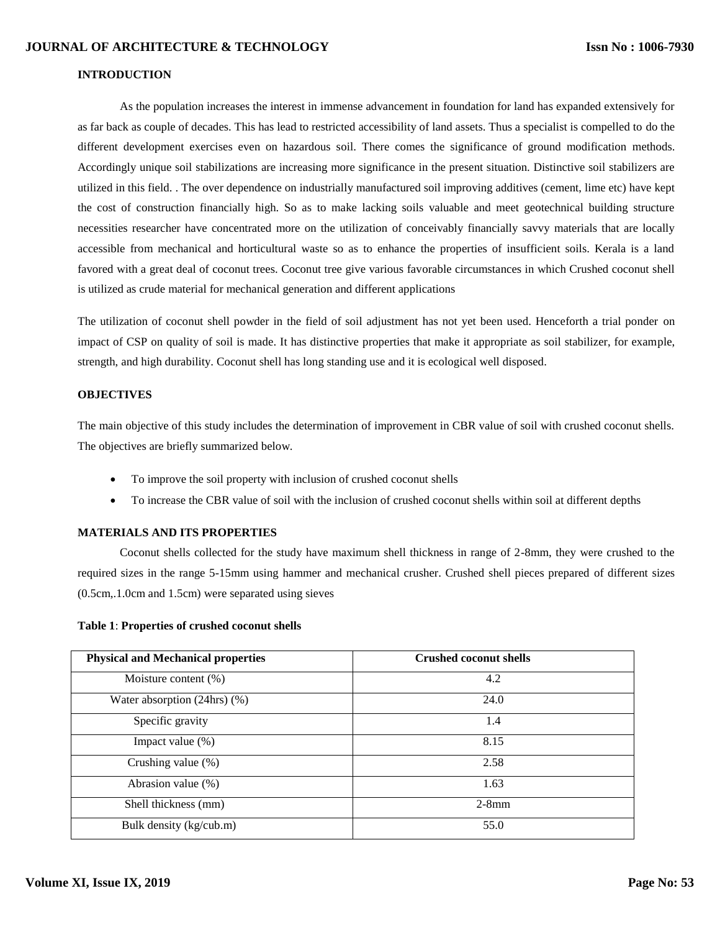### **INTRODUCTION**

As the population increases the interest in immense advancement in foundation for land has expanded extensively for as far back as couple of decades. This has lead to restricted accessibility of land assets. Thus a specialist is compelled to do the different development exercises even on hazardous soil. There comes the significance of ground modification methods. Accordingly unique soil stabilizations are increasing more significance in the present situation. Distinctive soil stabilizers are utilized in this field. . The over dependence on industrially manufactured soil improving additives (cement, lime etc) have kept the cost of construction financially high. So as to make lacking soils valuable and meet geotechnical building structure necessities researcher have concentrated more on the utilization of conceivably financially savvy materials that are locally accessible from mechanical and horticultural waste so as to enhance the properties of insufficient soils. Kerala is a land favored with a great deal of coconut trees. Coconut tree give various favorable circumstances in which Crushed coconut shell is utilized as crude material for mechanical generation and different applications

The utilization of coconut shell powder in the field of soil adjustment has not yet been used. Henceforth a trial ponder on impact of CSP on quality of soil is made. It has distinctive properties that make it appropriate as soil stabilizer, for example, strength, and high durability. Coconut shell has long standing use and it is ecological well disposed.

#### **OBJECTIVES**

The main objective of this study includes the determination of improvement in CBR value of soil with crushed coconut shells. The objectives are briefly summarized below.

- To improve the soil property with inclusion of crushed coconut shells
- To increase the CBR value of soil with the inclusion of crushed coconut shells within soil at different depths

## **MATERIALS AND ITS PROPERTIES**

Coconut shells collected for the study have maximum shell thickness in range of 2-8mm, they were crushed to the required sizes in the range 5-15mm using hammer and mechanical crusher. Crushed shell pieces prepared of different sizes (0.5cm,.1.0cm and 1.5cm) were separated using sieves

#### **Table 1**: **Properties of crushed coconut shells**

| <b>Physical and Mechanical properties</b> | <b>Crushed coconut shells</b> |
|-------------------------------------------|-------------------------------|
| Moisture content $(\%)$                   | 4.2                           |
| Water absorption $(24hrs)$ $(\%)$         | 24.0                          |
| Specific gravity                          | 1.4                           |
| Impact value (%)                          | 8.15                          |
| Crushing value (%)                        | 2.58                          |
| Abrasion value (%)                        | 1.63                          |
| Shell thickness (mm)                      | $2-8$ mm                      |
| Bulk density (kg/cub.m)                   | 55.0                          |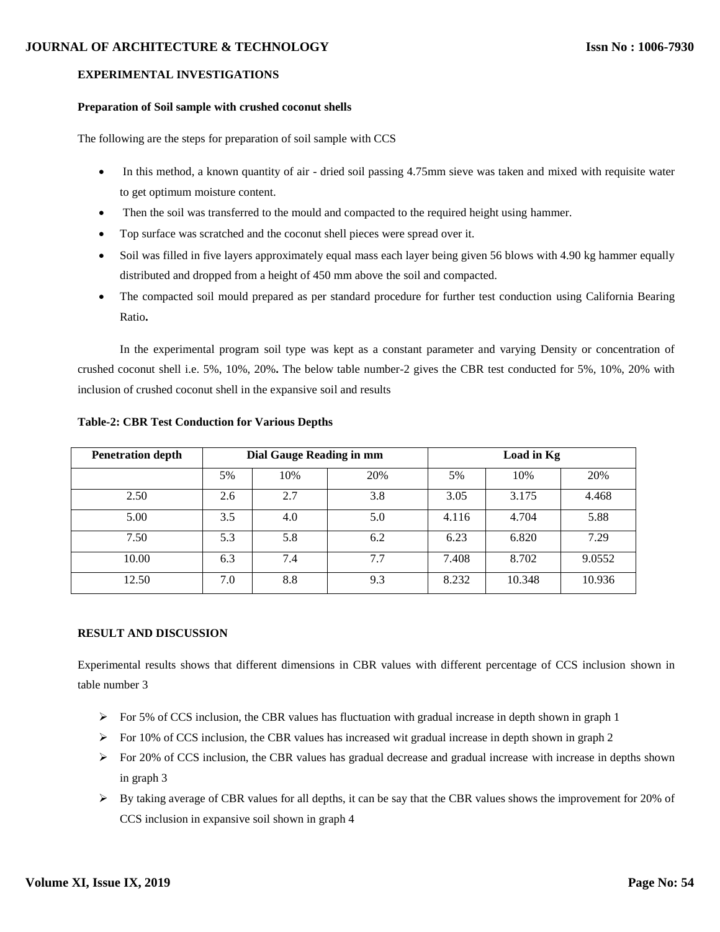## **JOURNAL OF ARCHITECTURE & TECHNOLOGY**

# **EXPERIMENTAL INVESTIGATIONS**

# **Preparation of Soil sample with crushed coconut shells**

The following are the steps for preparation of soil sample with CCS

- In this method, a known quantity of air dried soil passing 4.75mm sieve was taken and mixed with requisite water to get optimum moisture content.
- Then the soil was transferred to the mould and compacted to the required height using hammer.
- Top surface was scratched and the coconut shell pieces were spread over it.
- Soil was filled in five layers approximately equal mass each layer being given 56 blows with 4.90 kg hammer equally distributed and dropped from a height of 450 mm above the soil and compacted.
- The compacted soil mould prepared as per standard procedure for further test conduction using California Bearing Ratio**.**

In the experimental program soil type was kept as a constant parameter and varying Density or concentration of crushed coconut shell i.e. 5%, 10%, 20%**.** The below table number-2 gives the CBR test conducted for 5%, 10%, 20% with inclusion of crushed coconut shell in the expansive soil and results

| <b>Penetration depth</b> | Dial Gauge Reading in mm |     | Load in Kg |       |        |        |
|--------------------------|--------------------------|-----|------------|-------|--------|--------|
|                          | 5%                       | 10% | 20%        | 5%    | 10%    | 20%    |
| 2.50                     | 2.6                      | 2.7 | 3.8        | 3.05  | 3.175  | 4.468  |
| 5.00                     | 3.5                      | 4.0 | 5.0        | 4.116 | 4.704  | 5.88   |
| 7.50                     | 5.3                      | 5.8 | 6.2        | 6.23  | 6.820  | 7.29   |
| 10.00                    | 6.3                      | 7.4 | 7.7        | 7.408 | 8.702  | 9.0552 |
| 12.50                    | 7.0                      | 8.8 | 9.3        | 8.232 | 10.348 | 10.936 |

# **Table-2: CBR Test Conduction for Various Depths**

# **RESULT AND DISCUSSION**

Experimental results shows that different dimensions in CBR values with different percentage of CCS inclusion shown in table number 3

- $\triangleright$  For 5% of CCS inclusion, the CBR values has fluctuation with gradual increase in depth shown in graph 1
- $\triangleright$  For 10% of CCS inclusion, the CBR values has increased wit gradual increase in depth shown in graph 2
- $\triangleright$  For 20% of CCS inclusion, the CBR values has gradual decrease and gradual increase with increase in depths shown in graph 3
- $\triangleright$  By taking average of CBR values for all depths, it can be say that the CBR values shows the improvement for 20% of CCS inclusion in expansive soil shown in graph 4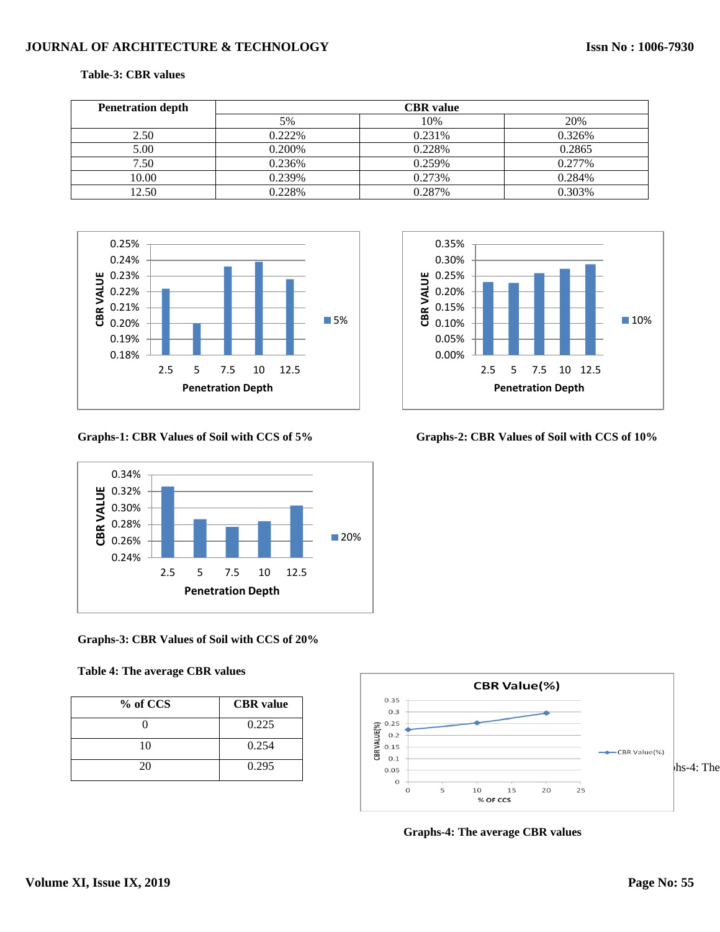# **JOURNAL OF ARCHITECTURE & TECHNOLOGY**

#### **Table-3: CBR values**

| <b>Penetration depth</b> | <b>CBR</b> value |        |        |  |
|--------------------------|------------------|--------|--------|--|
|                          | 5%               | 10%    | 20%    |  |
| 2.50                     | 0.222\%          | 0.231% | 0.326% |  |
| 5.00                     | 0.200%           | 0.228% | 0.2865 |  |
| 7.50                     | 0.236%           | 0.259% | 0.277% |  |
| 10.00                    | 0.239%           | 0.273% | 0.284% |  |
| 12.50                    | 0.228%           | 0.287% | 0.303% |  |





**Graphs-3: CBR Values of Soil with CCS of 20%**

## **Table 4: The average CBR values**

| % of CCS | <b>CBR</b> value |
|----------|------------------|
|          | 0.225            |
| 10       | 0.254            |
| 20       | 0.295            |



**Graphs-1: CBR Values of Soil with CCS of 5% Graphs-2: CBR Values of Soil with CCS of 10%**



 **Graphs-4: The average CBR values**